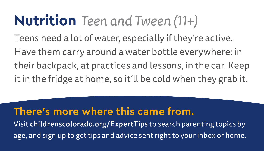# **Nutrition** *Teen and Tween (11+)*

Teens need a lot of water, especially if they're active. Have them carry around a water bottle everywhere: in their backpack, at practices and lessons, in the car. Keep it in the fridge at home, so it'll be cold when they grab it.

#### **There's more where this came from.**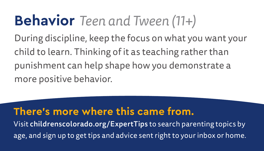# **Behavior** *Teen and Tween (11+)*

During discipline, keep the focus on what you want your child to learn. Thinking of it as teaching rather than punishment can help shape how you demonstrate a more positive behavior.

### **There's more where this came from.**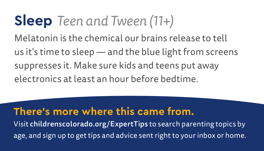## **Sleep** *Teen and Tween (11+)*

Melatonin is the chemical our brains release to tell us it's time to sleep — and the blue light from screens suppresses it. Make sure kids and teens put away electronics at least an hour before bedtime.

### **There's more where this came from.**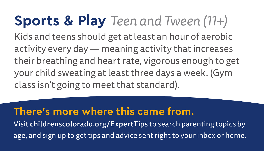## **Sports & Play** *Teen and Tween (11+)* Kids and teens should get at least an hour of aerobic activity every day — meaning activity that increases their breathing and heart rate, vigorous enough to get your child sweating at least three days a week. (Gym class isn't going to meet that standard).

## **There's more where this came from.**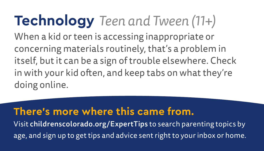## **Technology** *Teen and Tween (11+)* When a kid or teen is accessing inappropriate or concerning materials routinely, that's a problem in itself, but it can be a sign of trouble elsewhere. Check in with your kid often, and keep tabs on what they're doing online.

## **There's more where this came from.**